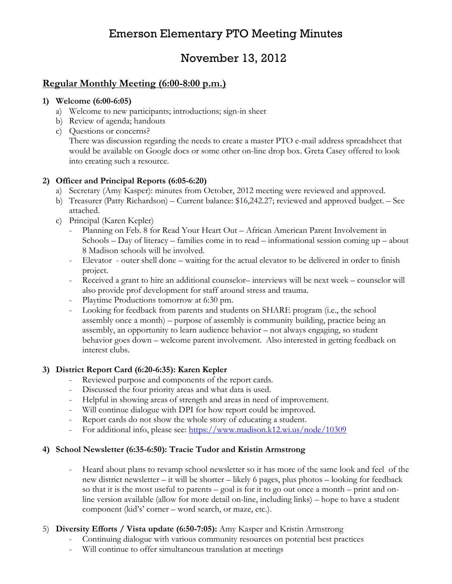# Emerson Elementary PTO Meeting Minutes

# November 13, 2012

## Regular Monthly Meeting (6:00-8:00 p.m.)

#### 1) Welcome (6:00-6:05)

- a) Welcome to new participants; introductions; sign-in sheet
- b) Review of agenda; handouts
- c) Questions or concerns? There was discussion regarding the needs to create a master PTO e-mail address spreadsheet that would be available on Google docs or some other on-line drop box. Greta Casey offered to look into creating such a resource.

### 2) Officer and Principal Reports (6:05-6:20)

- a) Secretary (Amy Kasper): minutes from October, 2012 meeting were reviewed and approved.
- b) Treasurer (Patty Richardson) Current balance: \$16,242.27; reviewed and approved budget. See attached.
- c) Principal (Karen Kepler)
	- Planning on Feb. 8 for Read Your Heart Out African American Parent Involvement in Schools – Day of literacy – families come in to read – informational session coming up – about 8 Madison schools will be involved.
	- Elevator outer shell done waiting for the actual elevator to be delivered in order to finish project.
	- Received a grant to hire an additional counselor– interviews will be next week counselor will also provide prof development for staff around stress and trauma.
	- Playtime Productions tomorrow at 6:30 pm.
	- Looking for feedback from parents and students on SHARE program (i.e., the school assembly once a month) – purpose of assembly is community building, practice being an assembly, an opportunity to learn audience behavior – not always engaging, so student behavior goes down – welcome parent involvement. Also interested in getting feedback on interest clubs.

#### 3) District Report Card (6:20-6:35): Karen Kepler

- Reviewed purpose and components of the report cards.
- Discussed the four priority areas and what data is used.
- Helpful in showing areas of strength and areas in need of improvement.
- Will continue dialogue with DPI for how report could be improved.
- Report cards do not show the whole story of educating a student.
- For additional info, please see: https://www.madison.k12.wi.us/node/10309

#### 4) School Newsletter (6:35-6:50): Tracie Tudor and Kristin Armstrong

- Heard about plans to revamp school newsletter so it has more of the same look and feel of the new district newsletter – it will be shorter – likely 6 pages, plus photos – looking for feedback so that it is the most useful to parents – goal is for it to go out once a month – print and online version available (allow for more detail on-line, including links) – hope to have a student component (kid's' corner – word search, or maze, etc.).

#### 5) Diversity Efforts / Vista update (6:50-7:05): Amy Kasper and Kristin Armstrong

- Continuing dialogue with various community resources on potential best practices<br>- Will continue to offer simultaneous translation at meetings
- Will continue to offer simultaneous translation at meetings